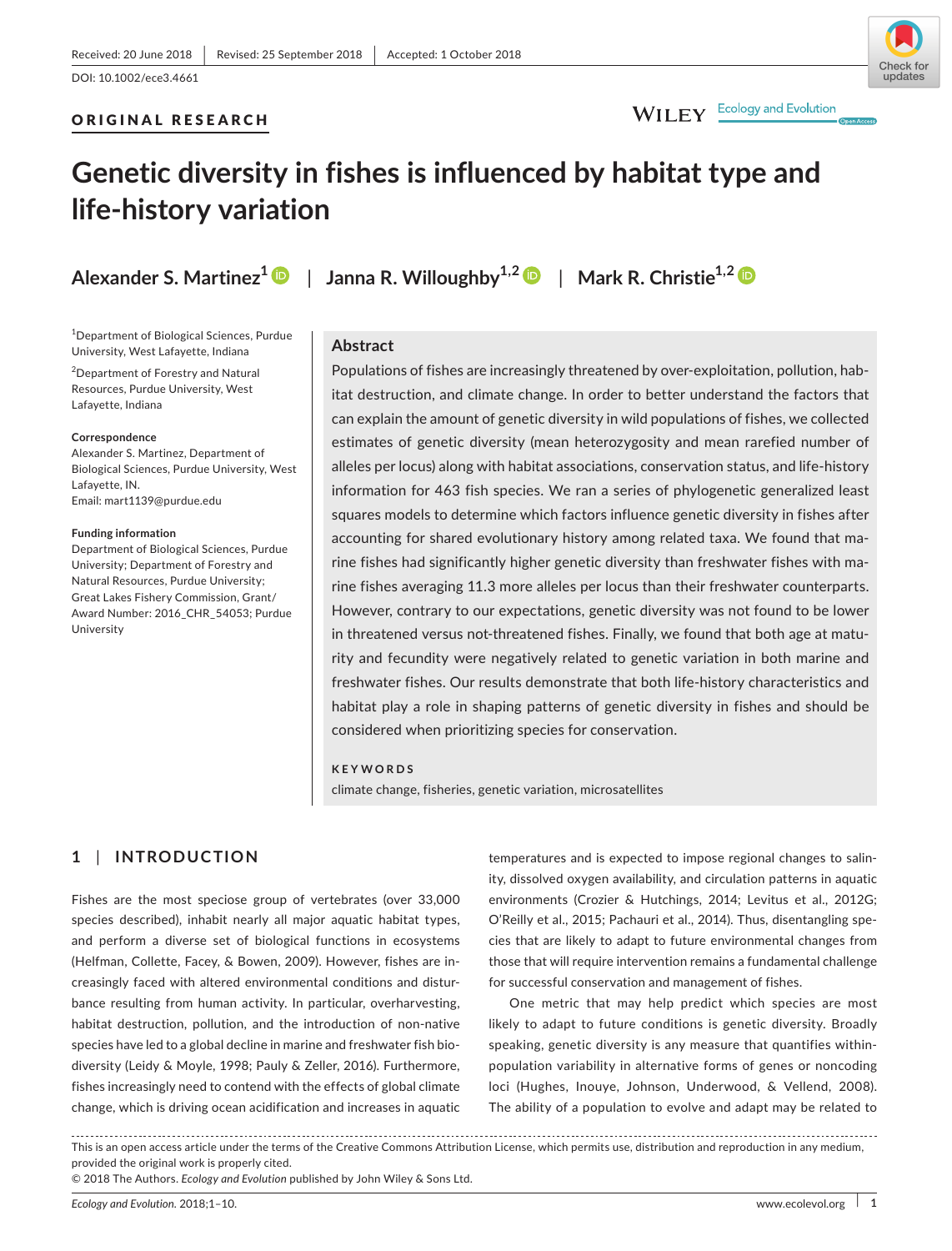# Check for undates

## ORIGINAL RESEARCH

WILEY Ecology and Evolution

## **Genetic diversity in fishes is influenced by habitat type and life‐history variation**

1 Department of Biological Sciences, Purdue University, West Lafayette, Indiana

<sup>2</sup> Department of Forestry and Natural Resources, Purdue University, West Lafayette, Indiana

#### **Correspondence**

Alexander S. Martinez, Department of Biological Sciences, Purdue University, West Lafayette, IN. Email: [mart1139@purdue.edu](mailto:mart1139@purdue.edu)

#### **Funding information**

Department of Biological Sciences, Purdue University; Department of Forestry and Natural Resources, Purdue University; Great Lakes Fishery Commission, Grant/ Award Number: 2016\_CHR\_54053; Purdue University

**Alexander S. Martinez1** | **Janna R. Willoughby1,[2](https://orcid.org/0000-0002-0176-1878 )** | **Mark R. Christie1,[2](https://orcid.org/0000-0001-7285-5364 )**

## **Abstract**

Populations of fishes are increasingly threatened by over-exploitation, pollution, habitat destruction, and climate change. In order to better understand the factors that can explain the amount of genetic diversity in wild populations of fishes, we collected estimates of genetic diversity (mean heterozygosity and mean rarefied number of alleles per locus) along with habitat associations, conservation status, and life‐history information for 463 fish species. We ran a series of phylogenetic generalized least squares models to determine which factors influence genetic diversity in fishes after accounting for shared evolutionary history among related taxa. We found that marine fishes had significantly higher genetic diversity than freshwater fishes with marine fishes averaging 11.3 more alleles per locus than their freshwater counterparts. However, contrary to our expectations, genetic diversity was not found to be lower in threatened versus not-threatened fishes. Finally, we found that both age at maturity and fecundity were negatively related to genetic variation in both marine and freshwater fishes. Our results demonstrate that both life‐history characteristics and habitat play a role in shaping patterns of genetic diversity in fishes and should be considered when prioritizing species for conservation.

#### **KEYWORDS**

climate change, fisheries, genetic variation, microsatellites

## **1** | **INTRODUCTION**

Fishes are the most speciose group of vertebrates (over 33,000 species described), inhabit nearly all major aquatic habitat types, and perform a diverse set of biological functions in ecosystems (Helfman, Collette, Facey, & Bowen, 2009). However, fishes are in‐ creasingly faced with altered environmental conditions and distur‐ bance resulting from human activity. In particular, overharvesting, habitat destruction, pollution, and the introduction of non‐native species have led to a global decline in marine and freshwater fish biodiversity (Leidy & Moyle, 1998; Pauly & Zeller, 2016). Furthermore, fishes increasingly need to contend with the effects of global climate change, which is driving ocean acidification and increases in aquatic

temperatures and is expected to impose regional changes to salin‐ ity, dissolved oxygen availability, and circulation patterns in aquatic environments (Crozier & Hutchings, 2014; Levitus et al., 2012G; O'Reilly et al., 2015; Pachauri et al., 2014). Thus, disentangling spe‐ cies that are likely to adapt to future environmental changes from those that will require intervention remains a fundamental challenge for successful conservation and management of fishes.

One metric that may help predict which species are most likely to adapt to future conditions is genetic diversity. Broadly speaking, genetic diversity is any measure that quantifies within‐ population variability in alternative forms of genes or noncoding loci (Hughes, Inouye, Johnson, Underwood, & Vellend, 2008). The ability of a population to evolve and adapt may be related to

This is an open access article under the terms of the Creative Commons [Attribution](http://creativecommons.org/licenses/by/4.0/) License, which permits use, distribution and reproduction in any medium, provided the original work is properly cited.

© 2018 The Authors. *Ecology and Evolution* published by John Wiley & Sons Ltd.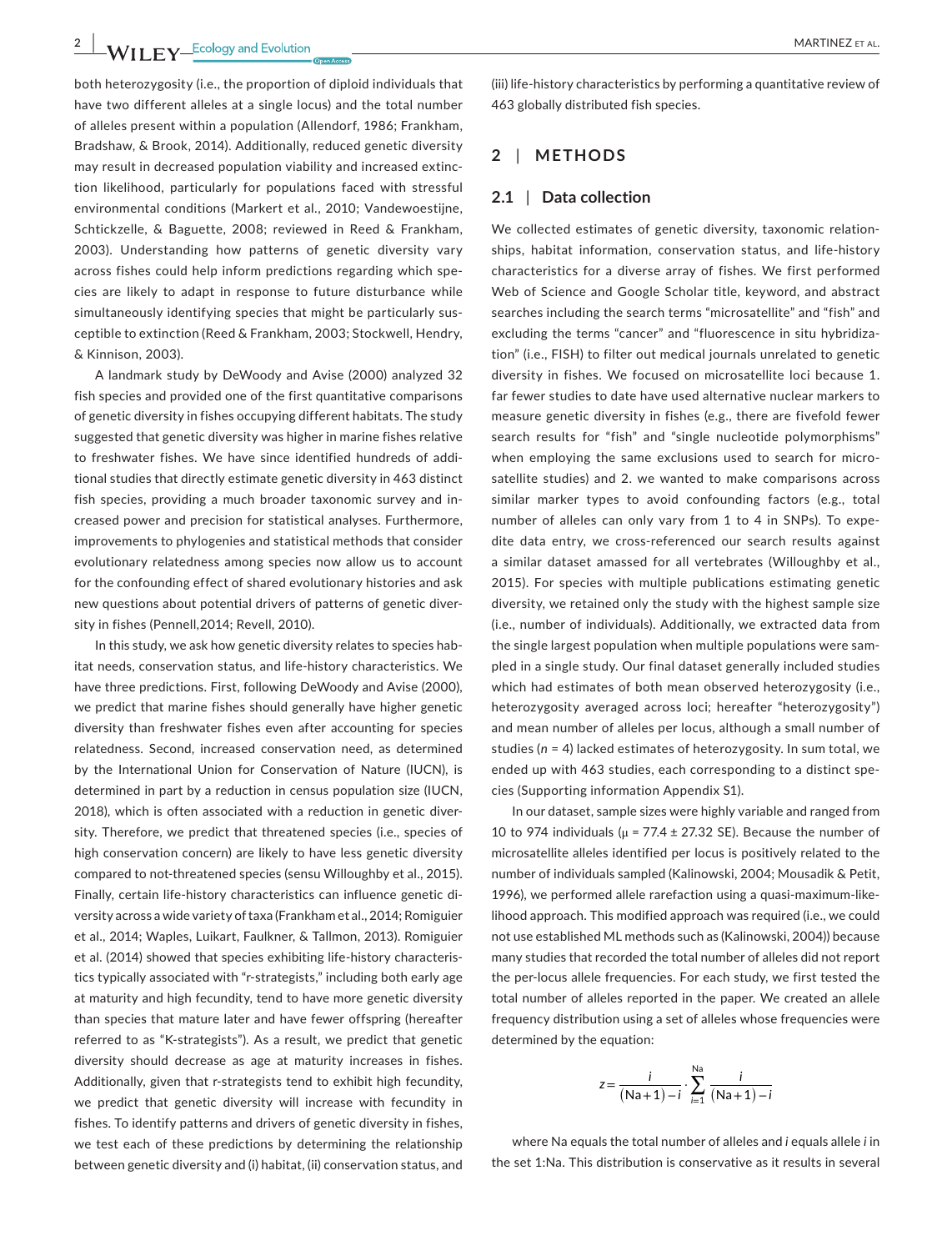both heterozygosity (i.e., the proportion of diploid individuals that have two different alleles at a single locus) and the total number of alleles present within a population (Allendorf, 1986; Frankham, Bradshaw, & Brook, 2014). Additionally, reduced genetic diversity may result in decreased population viability and increased extinc‐ tion likelihood, particularly for populations faced with stressful environmental conditions (Markert et al., 2010; Vandewoestijne, Schtickzelle, & Baguette, 2008; reviewed in Reed & Frankham, 2003). Understanding how patterns of genetic diversity vary across fishes could help inform predictions regarding which spe‐ cies are likely to adapt in response to future disturbance while simultaneously identifying species that might be particularly susceptible to extinction (Reed & Frankham, 2003; Stockwell, Hendry, & Kinnison, 2003).

A landmark study by DeWoody and Avise (2000) analyzed 32 fish species and provided one of the first quantitative comparisons of genetic diversity in fishes occupying different habitats. The study suggested that genetic diversity was higher in marine fishes relative to freshwater fishes. We have since identified hundreds of addi‐ tional studies that directly estimate genetic diversity in 463 distinct fish species, providing a much broader taxonomic survey and in‐ creased power and precision for statistical analyses. Furthermore, improvements to phylogenies and statistical methods that consider evolutionary relatedness among species now allow us to account for the confounding effect of shared evolutionary histories and ask new questions about potential drivers of patterns of genetic diver‐ sity in fishes (Pennell,2014; Revell, 2010).

In this study, we ask how genetic diversity relates to species hab‐ itat needs, conservation status, and life‐history characteristics. We have three predictions. First, following DeWoody and Avise (2000), we predict that marine fishes should generally have higher genetic diversity than freshwater fishes even after accounting for species relatedness. Second, increased conservation need, as determined by the International Union for Conservation of Nature (IUCN), is determined in part by a reduction in census population size (IUCN, 2018), which is often associated with a reduction in genetic diver‐ sity. Therefore, we predict that threatened species (i.e., species of high conservation concern) are likely to have less genetic diversity compared to not-threatened species (sensu Willoughby et al., 2015). Finally, certain life‐history characteristics can influence genetic di‐ versity across a wide variety of taxa (Frankham et al., 2014; Romiguier et al., 2014; Waples, Luikart, Faulkner, & Tallmon, 2013). Romiguier et al. (2014) showed that species exhibiting life‐history characteris‐ tics typically associated with "r‐strategists," including both early age at maturity and high fecundity, tend to have more genetic diversity than species that mature later and have fewer offspring (hereafter referred to as "K‐strategists"). As a result, we predict that genetic diversity should decrease as age at maturity increases in fishes. Additionally, given that r‐strategists tend to exhibit high fecundity, we predict that genetic diversity will increase with fecundity in fishes. To identify patterns and drivers of genetic diversity in fishes, we test each of these predictions by determining the relationship between genetic diversity and (i) habitat, (ii) conservation status, and

(iii) life‐history characteristics by performing a quantitative review of 463 globally distributed fish species.

## **2** | **METHODS**

## **2.1** | **Data collection**

We collected estimates of genetic diversity, taxonomic relationships, habitat information, conservation status, and life‐history characteristics for a diverse array of fishes. We first performed Web of Science and Google Scholar title, keyword, and abstract searches including the search terms "microsatellite" and "fish" and excluding the terms "cancer" and "fluorescence in situ hybridization" (i.e., FISH) to filter out medical journals unrelated to genetic diversity in fishes. We focused on microsatellite loci because 1. far fewer studies to date have used alternative nuclear markers to measure genetic diversity in fishes (e.g., there are fivefold fewer search results for "fish" and "single nucleotide polymorphisms" when employing the same exclusions used to search for microsatellite studies) and 2. we wanted to make comparisons across similar marker types to avoid confounding factors (e.g., total number of alleles can only vary from 1 to 4 in SNPs). To expe‐ dite data entry, we cross‐referenced our search results against a similar dataset amassed for all vertebrates (Willoughby et al., 2015). For species with multiple publications estimating genetic diversity, we retained only the study with the highest sample size (i.e., number of individuals). Additionally, we extracted data from the single largest population when multiple populations were sam‐ pled in a single study. Our final dataset generally included studies which had estimates of both mean observed heterozygosity (i.e., heterozygosity averaged across loci; hereafter "heterozygosity") and mean number of alleles per locus, although a small number of studies (*n* = 4) lacked estimates of heterozygosity. In sum total, we ended up with 463 studies, each corresponding to a distinct spe‐ cies (Supporting information Appendix S1).

In our dataset, sample sizes were highly variable and ranged from 10 to 974 individuals ( $\mu$  = 77.4 ± 27.32 SE). Because the number of microsatellite alleles identified per locus is positively related to the number of individuals sampled (Kalinowski, 2004; Mousadik & Petit, 1996), we performed allele rarefaction using a quasi-maximum-likelihood approach. This modified approach was required (i.e., we could not use established ML methods such as (Kalinowski, 2004)) because many studies that recorded the total number of alleles did not report the per‐locus allele frequencies. For each study, we first tested the total number of alleles reported in the paper. We created an allele frequency distribution using a set of alleles whose frequencies were determined by the equation:

$$
z = \frac{i}{(Na+1) - i} \cdot \sum_{i=1}^{Na} \frac{i}{(Na+1) - i}
$$

where Na equals the total number of alleles and *i* equals allele *i* in the set 1:Na. This distribution is conservative as it results in several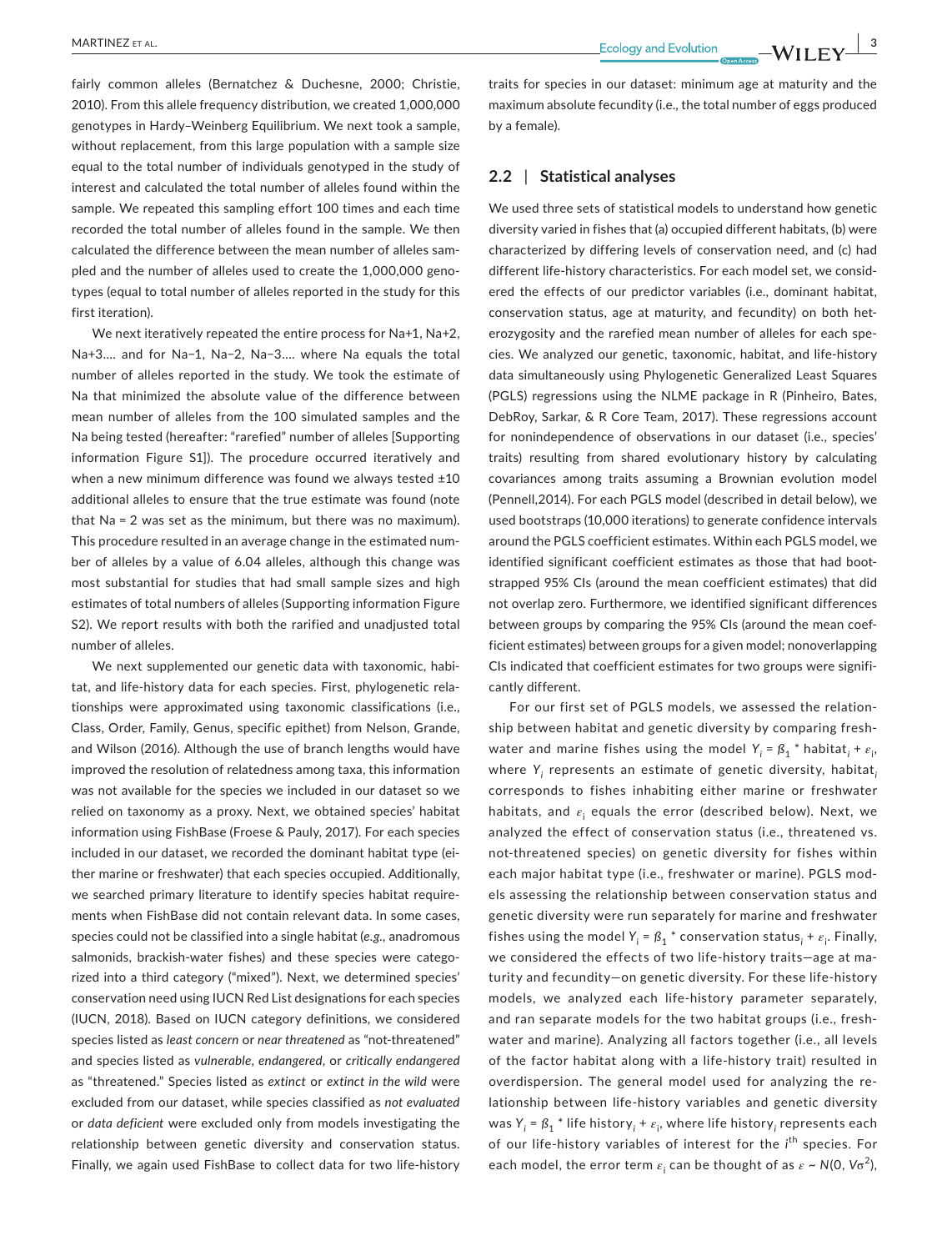fairly common alleles (Bernatchez & Duchesne, 2000; Christie, 2010). From this allele frequency distribution, we created 1,000,000 genotypes in Hardy–Weinberg Equilibrium. We next took a sample, without replacement, from this large population with a sample size equal to the total number of individuals genotyped in the study of interest and calculated the total number of alleles found within the sample. We repeated this sampling effort 100 times and each time recorded the total number of alleles found in the sample. We then calculated the difference between the mean number of alleles sam‐ pled and the number of alleles used to create the 1,000,000 geno‐ types (equal to total number of alleles reported in the study for this first iteration).

We next iteratively repeated the entire process for Na+1, Na+2, Na+3…. and for Na−1, Na−2, Na−3…. where Na equals the total number of alleles reported in the study. We took the estimate of Na that minimized the absolute value of the difference between mean number of alleles from the 100 simulated samples and the Na being tested (hereafter: "rarefied" number of alleles [Supporting information Figure S1]). The procedure occurred iteratively and when a new minimum difference was found we always tested ±10 additional alleles to ensure that the true estimate was found (note that Na = 2 was set as the minimum, but there was no maximum). This procedure resulted in an average change in the estimated num‐ ber of alleles by a value of 6.04 alleles, although this change was most substantial for studies that had small sample sizes and high estimates of total numbers of alleles (Supporting information Figure S2). We report results with both the rarified and unadjusted total number of alleles.

We next supplemented our genetic data with taxonomic, habi‐ tat, and life-history data for each species. First, phylogenetic relationships were approximated using taxonomic classifications (i.e., Class, Order, Family, Genus, specific epithet) from Nelson, Grande, and Wilson (2016). Although the use of branch lengths would have improved the resolution of relatedness among taxa, this information was not available for the species we included in our dataset so we relied on taxonomy as a proxy. Next, we obtained species' habitat information using FishBase (Froese & Pauly, 2017). For each species included in our dataset, we recorded the dominant habitat type (ei‐ ther marine or freshwater) that each species occupied. Additionally, we searched primary literature to identify species habitat require‐ ments when FishBase did not contain relevant data. In some cases, species could not be classified into a single habitat (*e.g.,* anadromous salmonids, brackish-water fishes) and these species were categorized into a third category ("mixed"). Next, we determined species' conservation need using IUCN Red List designations for each species (IUCN, 2018). Based on IUCN category definitions, we considered species listed as *least concern* or *near threatened* as "not‐threatened" and species listed as *vulnerable*, *endangered*, or *critically endangered* as "threatened." Species listed as *extinct* or *extinct in the wild* were excluded from our dataset, while species classified as *not evaluated* or *data deficient* were excluded only from models investigating the relationship between genetic diversity and conservation status. Finally, we again used FishBase to collect data for two life‐history

traits for species in our dataset: minimum age at maturity and the maximum absolute fecundity (i.e.*,* the total number of eggs produced by a female).

## **2.2** | **Statistical analyses**

We used three sets of statistical models to understand how genetic diversity varied in fishes that (a) occupied different habitats, (b) were characterized by differing levels of conservation need, and (c) had different life-history characteristics. For each model set, we considered the effects of our predictor variables (i.e., dominant habitat, conservation status, age at maturity, and fecundity) on both het‐ erozygosity and the rarefied mean number of alleles for each spe‐ cies. We analyzed our genetic, taxonomic, habitat, and life‐history data simultaneously using Phylogenetic Generalized Least Squares (PGLS) regressions using the NLME package in R (Pinheiro, Bates, DebRoy, Sarkar, & R Core Team, 2017). These regressions account for nonindependence of observations in our dataset (i.e., species' traits) resulting from shared evolutionary history by calculating covariances among traits assuming a Brownian evolution model (Pennell,2014). For each PGLS model (described in detail below), we used bootstraps (10,000 iterations) to generate confidence intervals around the PGLS coefficient estimates. Within each PGLS model, we identified significant coefficient estimates as those that had bootstrapped 95% CIs (around the mean coefficient estimates) that did not overlap zero. Furthermore, we identified significant differences between groups by comparing the 95% CIs (around the mean coefficient estimates) between groups for a given model; nonoverlapping CIs indicated that coefficient estimates for two groups were signifi‐ cantly different.

For our first set of PGLS models, we assessed the relation‐ ship between habitat and genetic diversity by comparing fresh‐ water and marine fishes using the model  $Y_i = \beta_1^*$  habitat<sub>i</sub> +  $\varepsilon_i^*$ , where *Yi* represents an estimate of genetic diversity, habitat*<sup>i</sup>* corresponds to fishes inhabiting either marine or freshwater habitats, and  $\varepsilon_{\text{i}}$  equals the error (described below). Next, we analyzed the effect of conservation status (i.e.*,* threatened vs. not-threatened species) on genetic diversity for fishes within each major habitat type (i.e.*,* freshwater or marine). PGLS mod‐ els assessing the relationship between conservation status and genetic diversity were run separately for marine and freshwater fishes using the model  $Y_i = \beta_1^*$  conservation status<sub>i</sub> +  $\varepsilon_i$ . Finally, we considered the effects of two life-history traits-age at maturity and fecundity—on genetic diversity. For these life‐history models, we analyzed each life-history parameter separately, and ran separate models for the two habitat groups (i.e., fresh‐ water and marine). Analyzing all factors together (i.e., all levels of the factor habitat along with a life‐history trait) resulted in overdispersion. The general model used for analyzing the re‐ lationship between life‐history variables and genetic diversity was  $Y_i = \beta_1^*$  life history<sub>i</sub> +  $\varepsilon_i$ , where life history<sub>i</sub> represents each of our life-history variables of interest for the *i*<sup>th</sup> species. For each model, the error term  $\varepsilon_i$  can be thought of as  $\varepsilon \sim N(0, V\sigma^2)$ ,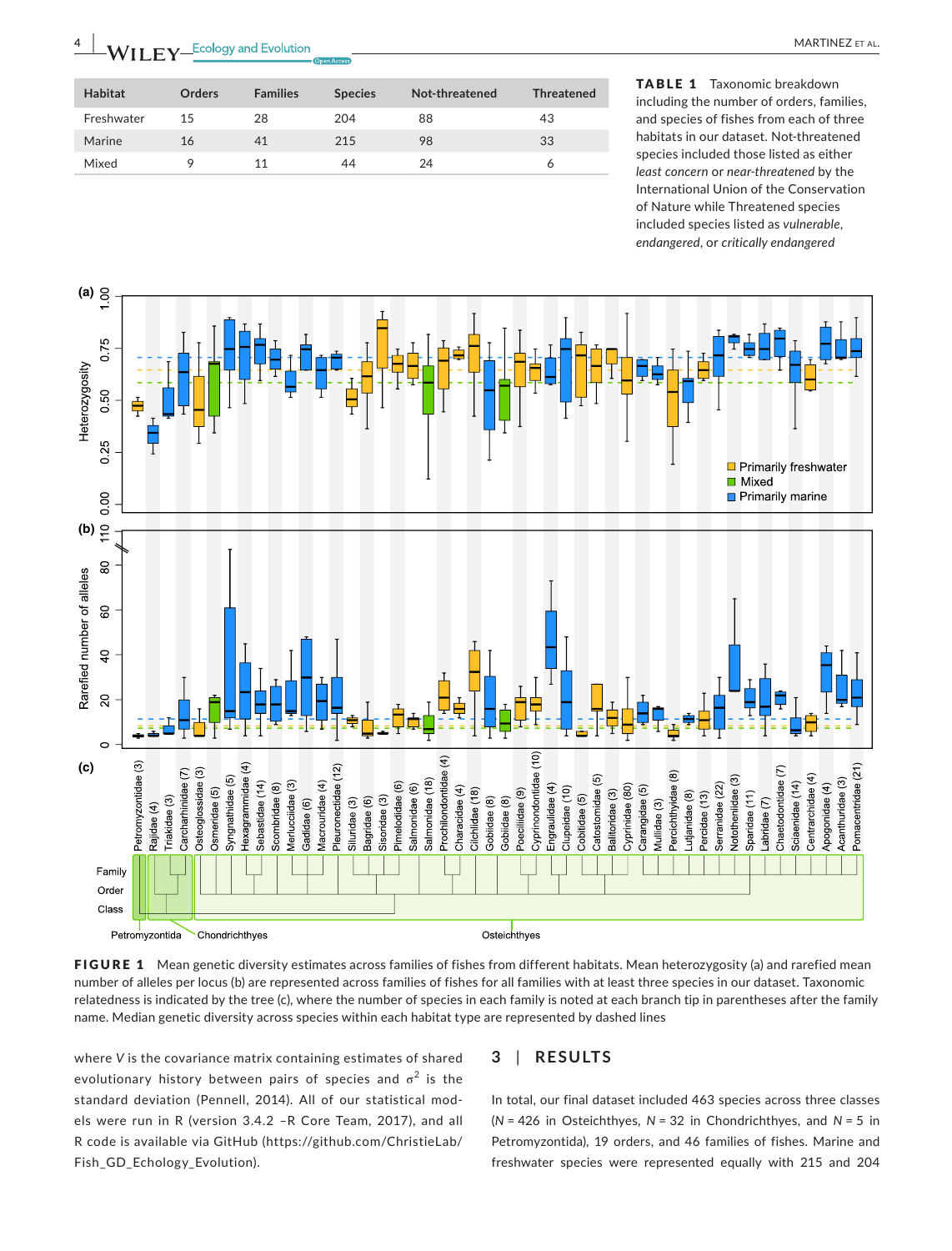

**Habitat Orders Families Species Not‐threatened Threatened** Freshwater 15 28 204 88 43 Marine 16 41 215 98 33 Mixed 9 11 44 24 6

TABLE 1 Taxonomic breakdown including the number of orders, families, and species of fishes from each of three habitats in our dataset. Not‐threatened species included those listed as either *least concern* or *near‐threatened* by the International Union of the Conservation of Nature while Threatened species

FIGURE 1 Mean genetic diversity estimates across families of fishes from different habitats. Mean heterozygosity (a) and rarefied mean number of alleles per locus (b) are represented across families of fishes for all families with at least three species in our dataset. Taxonomic relatedness is indicated by the tree (c), where the number of species in each family is noted at each branch tip in parentheses after the family name. Median genetic diversity across species within each habitat type are represented by dashed lines

where *V* is the covariance matrix containing estimates of shared evolutionary history between pairs of species and  $\sigma^2$  is the standard deviation (Pennell, 2014). All of our statistical mod‐ els were run in R (version 3.4.2 –R Core Team, 2017), and all R code is available via GitHub ([https://github.com/ChristieLab/](https://github.com/ChristieLab/Fish_GD_Ecology_Evolution) [Fish\\_GD\\_Echology\\_Evolution](https://github.com/ChristieLab/Fish_GD_Ecology_Evolution)).

## **3** | **RESULTS**

In total, our final dataset included 463 species across three classes (*N* = 426 in Osteichthyes, *N* = 32 in Chondrichthyes, and *N* = 5 in Petromyzontida), 19 orders, and 46 families of fishes. Marine and freshwater species were represented equally with 215 and 204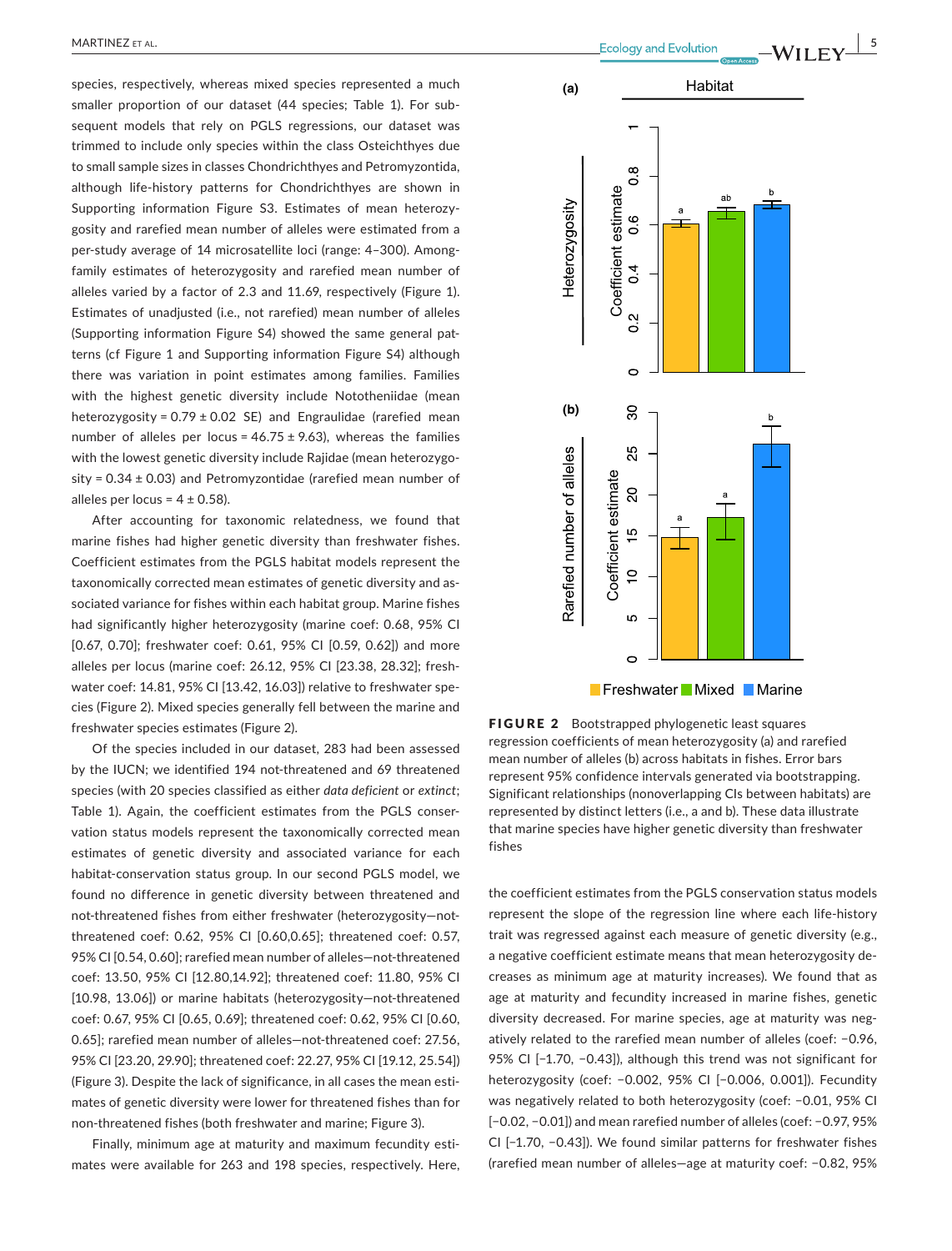species, respectively, whereas mixed species represented a much smaller proportion of our dataset (44 species; Table 1). For sub‐ sequent models that rely on PGLS regressions, our dataset was trimmed to include only species within the class Osteichthyes due to small sample sizes in classes Chondrichthyes and Petromyzontida, although life-history patterns for Chondrichthyes are shown in Supporting information Figure S3. Estimates of mean heterozy‐ gosity and rarefied mean number of alleles were estimated from a per-study average of 14 microsatellite loci (range: 4-300). Amongfamily estimates of heterozygosity and rarefied mean number of alleles varied by a factor of 2.3 and 11.69, respectively (Figure 1). Estimates of unadjusted (i.e., not rarefied) mean number of alleles (Supporting information Figure S4) showed the same general pat‐ terns (cf Figure 1 and Supporting information Figure S4) although there was variation in point estimates among families. Families with the highest genetic diversity include Nototheniidae (mean heterozygosity =  $0.79 \pm 0.02$  SE) and Engraulidae (rarefied mean number of alleles per locus =  $46.75 \pm 9.63$ ), whereas the families with the lowest genetic diversity include Rajidae (mean heterozygosity =  $0.34 \pm 0.03$ ) and Petromyzontidae (rarefied mean number of alleles per locus =  $4 \pm 0.58$ ).

After accounting for taxonomic relatedness, we found that marine fishes had higher genetic diversity than freshwater fishes. Coefficient estimates from the PGLS habitat models represent the taxonomically corrected mean estimates of genetic diversity and as‐ sociated variance for fishes within each habitat group. Marine fishes had significantly higher heterozygosity (marine coef: 0.68, 95% CI [0.67, 0.70]; freshwater coef: 0.61, 95% CI [0.59, 0.62]) and more alleles per locus (marine coef: 26.12, 95% CI [23.38, 28.32]; fresh‐ water coef: 14.81, 95% CI [13.42, 16.03]) relative to freshwater spe‐ cies (Figure 2). Mixed species generally fell between the marine and freshwater species estimates (Figure 2).

Of the species included in our dataset, 283 had been assessed by the IUCN; we identified 194 not-threatened and 69 threatened species (with 20 species classified as either *data deficient* or *extinct*; Table 1). Again, the coefficient estimates from the PGLS conser‐ vation status models represent the taxonomically corrected mean estimates of genetic diversity and associated variance for each habitat-conservation status group. In our second PGLS model, we found no difference in genetic diversity between threatened and not-threatened fishes from either freshwater (heterozygosity-notthreatened coef: 0.62, 95% CI [0.60,0.65]; threatened coef: 0.57, 95% CI [0.54, 0.60]; rarefied mean number of alleles—not-threatened coef: 13.50, 95% CI [12.80,14.92]; threatened coef: 11.80, 95% CI [10.98, 13.06]) or marine habitats (heterozygosity-not-threatened coef: 0.67, 95% CI [0.65, 0.69]; threatened coef: 0.62, 95% CI [0.60, 0.65]; rarefied mean number of alleles-not-threatened coef: 27.56, 95% CI [23.20, 29.90]; threatened coef: 22.27, 95% CI [19.12, 25.54]) (Figure 3). Despite the lack of significance, in all cases the mean esti‐ mates of genetic diversity were lower for threatened fishes than for non-threatened fishes (both freshwater and marine; Figure 3).

Finally, minimum age at maturity and maximum fecundity esti‐ mates were available for 263 and 198 species, respectively. Here,

 **|** MARTINEZ et al. **5**



FIGURE 2 Bootstrapped phylogenetic least squares regression coefficients of mean heterozygosity (a) and rarefied mean number of alleles (b) across habitats in fishes. Error bars represent 95% confidence intervals generated via bootstrapping. Significant relationships (nonoverlapping CIs between habitats) are represented by distinct letters (i.e., a and b). These data illustrate that marine species have higher genetic diversity than freshwater fishes

the coefficient estimates from the PGLS conservation status models represent the slope of the regression line where each life‐history trait was regressed against each measure of genetic diversity (e.g., a negative coefficient estimate means that mean heterozygosity de‐ creases as minimum age at maturity increases). We found that as age at maturity and fecundity increased in marine fishes, genetic diversity decreased. For marine species, age at maturity was neg‐ atively related to the rarefied mean number of alleles (coef: −0.96, 95% CI [−1.70, −0.43]), although this trend was not significant for heterozygosity (coef: −0.002, 95% CI [−0.006, 0.001]). Fecundity was negatively related to both heterozygosity (coef: −0.01, 95% CI [−0.02, −0.01]) and mean rarefied number of alleles (coef: −0.97, 95% CI [−1.70, −0.43]). We found similar patterns for freshwater fishes (rarefied mean number of alleles—age at maturity coef: −0.82, 95%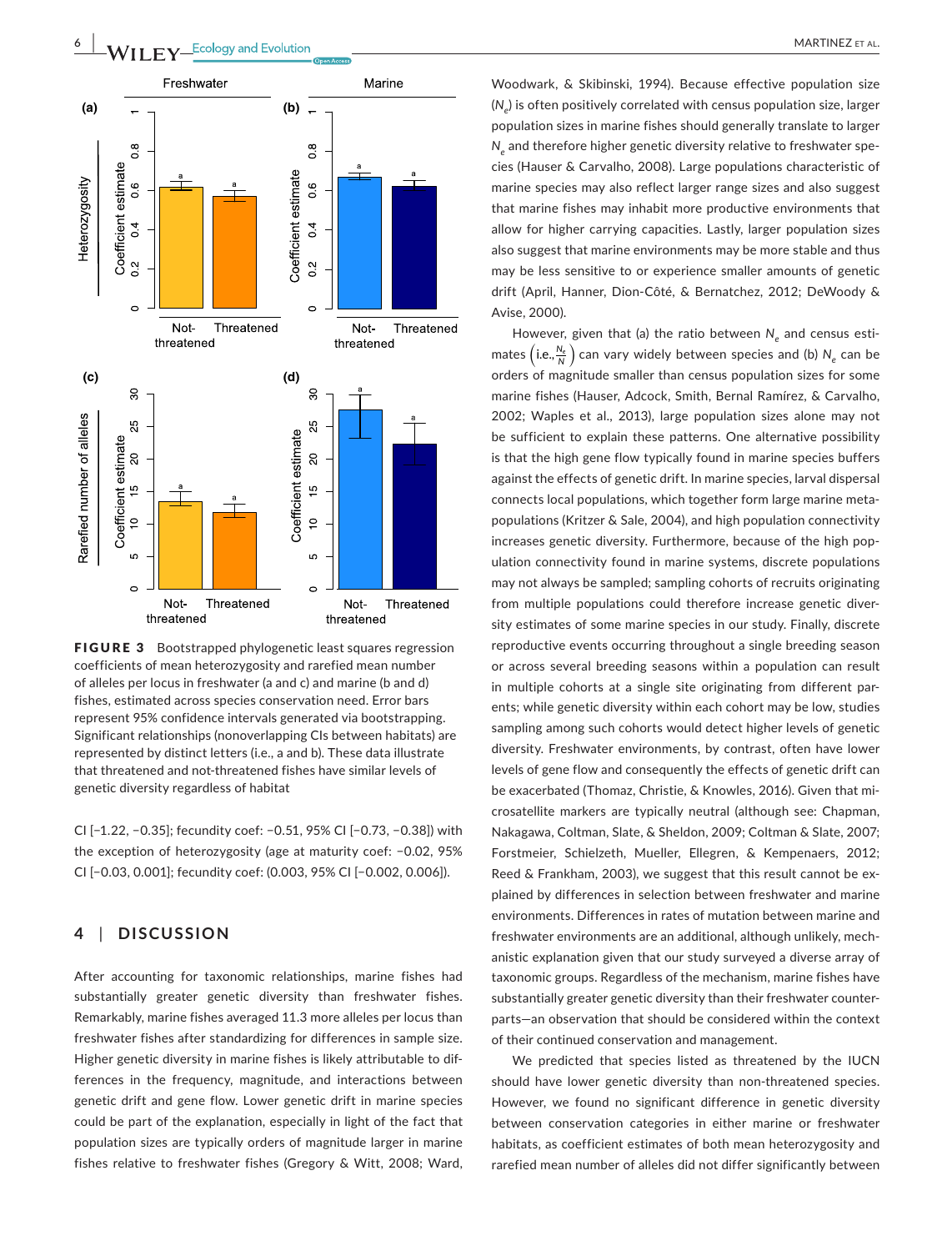

FIGURE 3 Bootstrapped phylogenetic least squares regression coefficients of mean heterozygosity and rarefied mean number of alleles per locus in freshwater (a and c) and marine (b and d) fishes, estimated across species conservation need. Error bars represent 95% confidence intervals generated via bootstrapping. Significant relationships (nonoverlapping CIs between habitats) are represented by distinct letters (i.e., a and b). These data illustrate that threatened and not-threatened fishes have similar levels of genetic diversity regardless of habitat

CI [−1.22, −0.35]; fecundity coef: −0.51, 95% CI [−0.73, −0.38]) with the exception of heterozygosity (age at maturity coef: −0.02, 95% CI [−0.03, 0.001]; fecundity coef: (0.003, 95% CI [−0.002, 0.006]).

## **4** | **DISCUSSION**

After accounting for taxonomic relationships, marine fishes had substantially greater genetic diversity than freshwater fishes. Remarkably, marine fishes averaged 11.3 more alleles per locus than freshwater fishes after standardizing for differences in sample size. Higher genetic diversity in marine fishes is likely attributable to dif‐ ferences in the frequency, magnitude, and interactions between genetic drift and gene flow. Lower genetic drift in marine species could be part of the explanation, especially in light of the fact that population sizes are typically orders of magnitude larger in marine fishes relative to freshwater fishes (Gregory & Witt, 2008; Ward,

Woodwark, & Skibinski, 1994). Because effective population size (N<sub>e</sub>) is often positively correlated with census population size, larger population sizes in marine fishes should generally translate to larger *N<sub>s</sub>* and therefore higher genetic diversity relative to freshwater species (Hauser & Carvalho, 2008). Large populations characteristic of marine species may also reflect larger range sizes and also suggest that marine fishes may inhabit more productive environments that allow for higher carrying capacities. Lastly, larger population sizes also suggest that marine environments may be more stable and thus may be less sensitive to or experience smaller amounts of genetic drift (April, Hanner, Dion‐Côté, & Bernatchez, 2012; DeWoody & Avise, 2000).

However, given that (a) the ratio between N<sub>e</sub> and census estimates  $\left(\text{i.e.,}\frac{N_e}{N}\right)$  can vary widely between species and (b)  $N_e$  can be orders of magnitude smaller than census population sizes for some marine fishes (Hauser, Adcock, Smith, Bernal Ramírez, & Carvalho, 2002; Waples et al., 2013), large population sizes alone may not be sufficient to explain these patterns. One alternative possibility is that the high gene flow typically found in marine species buffers against the effects of genetic drift. In marine species, larval dispersal connects local populations, which together form large marine meta‐ populations (Kritzer & Sale, 2004), and high population connectivity increases genetic diversity. Furthermore, because of the high population connectivity found in marine systems, discrete populations may not always be sampled; sampling cohorts of recruits originating from multiple populations could therefore increase genetic diversity estimates of some marine species in our study. Finally, discrete reproductive events occurring throughout a single breeding season or across several breeding seasons within a population can result in multiple cohorts at a single site originating from different par‐ ents; while genetic diversity within each cohort may be low, studies sampling among such cohorts would detect higher levels of genetic diversity. Freshwater environments, by contrast, often have lower levels of gene flow and consequently the effects of genetic drift can be exacerbated (Thomaz, Christie, & Knowles, 2016). Given that mi‐ crosatellite markers are typically neutral (although see: Chapman, Nakagawa, Coltman, Slate, & Sheldon, 2009; Coltman & Slate, 2007; Forstmeier, Schielzeth, Mueller, Ellegren, & Kempenaers, 2012; Reed & Frankham, 2003), we suggest that this result cannot be ex‐ plained by differences in selection between freshwater and marine environments. Differences in rates of mutation between marine and freshwater environments are an additional, although unlikely, mech‐ anistic explanation given that our study surveyed a diverse array of taxonomic groups. Regardless of the mechanism, marine fishes have substantially greater genetic diversity than their freshwater counter‐ parts—an observation that should be considered within the context of their continued conservation and management.

We predicted that species listed as threatened by the IUCN should have lower genetic diversity than non-threatened species. However, we found no significant difference in genetic diversity between conservation categories in either marine or freshwater habitats, as coefficient estimates of both mean heterozygosity and rarefied mean number of alleles did not differ significantly between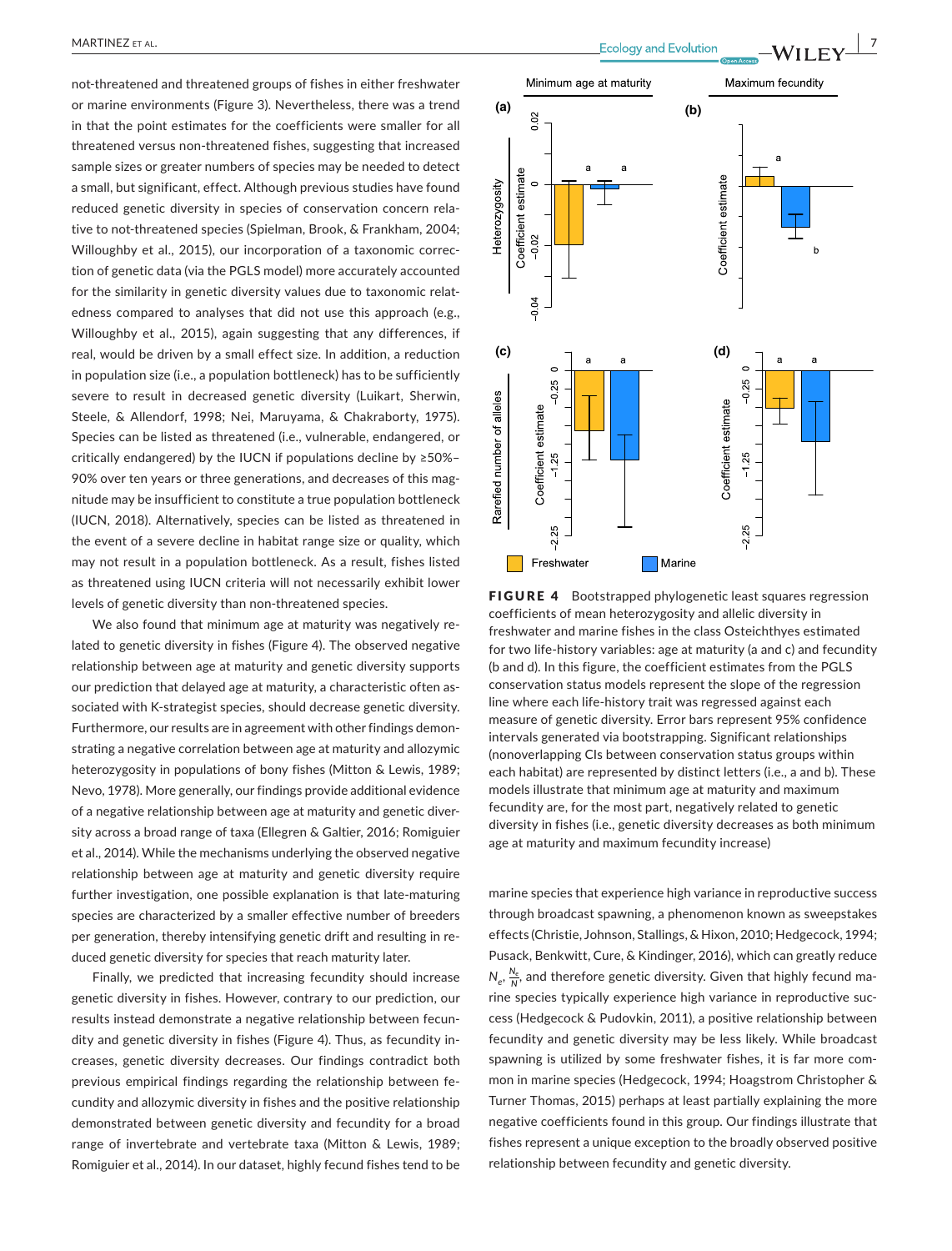not‐threatened and threatened groups of fishes in either freshwater or marine environments (Figure 3). Nevertheless, there was a trend in that the point estimates for the coefficients were smaller for all threatened versus non‐threatened fishes, suggesting that increased sample sizes or greater numbers of species may be needed to detect a small, but significant, effect. Although previous studies have found reduced genetic diversity in species of conservation concern rela‐ tive to not-threatened species (Spielman, Brook, & Frankham, 2004; Willoughby et al., 2015), our incorporation of a taxonomic correc‐ tion of genetic data (via the PGLS model) more accurately accounted for the similarity in genetic diversity values due to taxonomic relatedness compared to analyses that did not use this approach (e.g., Willoughby et al., 2015), again suggesting that any differences, if real, would be driven by a small effect size. In addition, a reduction in population size (i.e., a population bottleneck) has to be sufficiently severe to result in decreased genetic diversity (Luikart, Sherwin, Steele, & Allendorf, 1998; Nei, Maruyama, & Chakraborty, 1975). Species can be listed as threatened (i.e., vulnerable, endangered, or critically endangered) by the IUCN if populations decline by ≥50%– 90% over ten years or three generations, and decreases of this mag‐ nitude may be insufficient to constitute a true population bottleneck (IUCN, 2018). Alternatively, species can be listed as threatened in the event of a severe decline in habitat range size or quality, which may not result in a population bottleneck. As a result, fishes listed as threatened using IUCN criteria will not necessarily exhibit lower levels of genetic diversity than non-threatened species.

We also found that minimum age at maturity was negatively related to genetic diversity in fishes (Figure 4). The observed negative relationship between age at maturity and genetic diversity supports our prediction that delayed age at maturity, a characteristic often associated with K-strategist species, should decrease genetic diversity. Furthermore, our results are in agreement with other findings demon‐ strating a negative correlation between age at maturity and allozymic heterozygosity in populations of bony fishes (Mitton & Lewis, 1989; Nevo, 1978). More generally, our findings provide additional evidence of a negative relationship between age at maturity and genetic diver‐ sity across a broad range of taxa (Ellegren & Galtier, 2016; Romiguier et al., 2014). While the mechanisms underlying the observed negative relationship between age at maturity and genetic diversity require further investigation, one possible explanation is that late‐maturing species are characterized by a smaller effective number of breeders per generation, thereby intensifying genetic drift and resulting in re‐ duced genetic diversity for species that reach maturity later.

Finally, we predicted that increasing fecundity should increase genetic diversity in fishes. However, contrary to our prediction, our results instead demonstrate a negative relationship between fecun‐ dity and genetic diversity in fishes (Figure 4). Thus, as fecundity in‐ creases, genetic diversity decreases. Our findings contradict both previous empirical findings regarding the relationship between fe‐ cundity and allozymic diversity in fishes and the positive relationship demonstrated between genetic diversity and fecundity for a broad range of invertebrate and vertebrate taxa (Mitton & Lewis, 1989; Romiguier et al., 2014). In our dataset, highly fecund fishes tend to be



FIGURE 4 Bootstrapped phylogenetic least squares regression coefficients of mean heterozygosity and allelic diversity in freshwater and marine fishes in the class Osteichthyes estimated for two life‐history variables: age at maturity (a and c) and fecundity (b and d). In this figure, the coefficient estimates from the PGLS conservation status models represent the slope of the regression line where each life‐history trait was regressed against each measure of genetic diversity. Error bars represent 95% confidence intervals generated via bootstrapping. Significant relationships (nonoverlapping CIs between conservation status groups within each habitat) are represented by distinct letters (i.e., a and b). These models illustrate that minimum age at maturity and maximum fecundity are, for the most part, negatively related to genetic diversity in fishes (i.e., genetic diversity decreases as both minimum age at maturity and maximum fecundity increase)

marine species that experience high variance in reproductive success through broadcast spawning, a phenomenon known as sweepstakes effects (Christie, Johnson, Stallings, & Hixon, 2010; Hedgecock, 1994; Pusack, Benkwitt, Cure, & Kindinger, 2016), which can greatly reduce  $N_e$ ,  $\frac{N_e}{N}$ , and therefore genetic diversity. Given that highly fecund marine species typically experience high variance in reproductive suc‐ cess (Hedgecock & Pudovkin, 2011), a positive relationship between fecundity and genetic diversity may be less likely. While broadcast spawning is utilized by some freshwater fishes, it is far more com‐ mon in marine species (Hedgecock, 1994; Hoagstrom Christopher & Turner Thomas, 2015) perhaps at least partially explaining the more negative coefficients found in this group. Our findings illustrate that fishes represent a unique exception to the broadly observed positive relationship between fecundity and genetic diversity.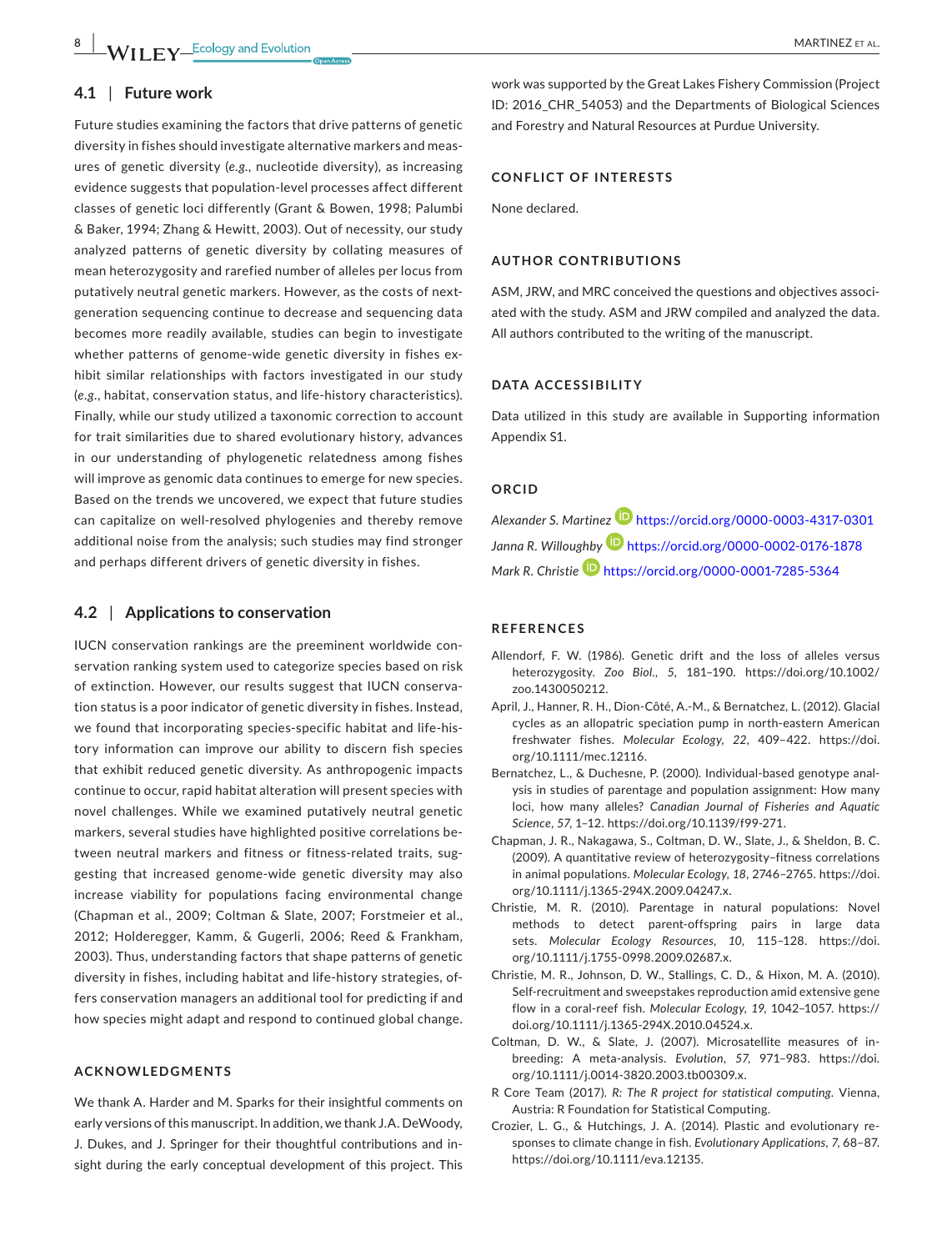## **4.1** | **Future work**

Future studies examining the factors that drive patterns of genetic diversity in fishes should investigate alternative markers and meas‐ ures of genetic diversity (*e.g.,* nucleotide diversity), as increasing evidence suggests that population‐level processes affect different classes of genetic loci differently (Grant & Bowen, 1998; Palumbi & Baker, 1994; Zhang & Hewitt, 2003). Out of necessity, our study analyzed patterns of genetic diversity by collating measures of mean heterozygosity and rarefied number of alleles per locus from putatively neutral genetic markers. However, as the costs of nextgeneration sequencing continue to decrease and sequencing data becomes more readily available, studies can begin to investigate whether patterns of genome-wide genetic diversity in fishes exhibit similar relationships with factors investigated in our study (*e.g.*, habitat, conservation status, and life‐history characteristics). Finally, while our study utilized a taxonomic correction to account for trait similarities due to shared evolutionary history, advances in our understanding of phylogenetic relatedness among fishes will improve as genomic data continues to emerge for new species. Based on the trends we uncovered, we expect that future studies can capitalize on well‐resolved phylogenies and thereby remove additional noise from the analysis; such studies may find stronger and perhaps different drivers of genetic diversity in fishes.

## **4.2** | **Applications to conservation**

IUCN conservation rankings are the preeminent worldwide con‐ servation ranking system used to categorize species based on risk of extinction. However, our results suggest that IUCN conserva‐ tion status is a poor indicator of genetic diversity in fishes. Instead, we found that incorporating species‐specific habitat and life‐his‐ tory information can improve our ability to discern fish species that exhibit reduced genetic diversity. As anthropogenic impacts continue to occur, rapid habitat alteration will present species with novel challenges. While we examined putatively neutral genetic markers, several studies have highlighted positive correlations be‐ tween neutral markers and fitness or fitness-related traits, suggesting that increased genome‐wide genetic diversity may also increase viability for populations facing environmental change (Chapman et al., 2009; Coltman & Slate, 2007; Forstmeier et al., 2012; Holderegger, Kamm, & Gugerli, 2006; Reed & Frankham, 2003). Thus, understanding factors that shape patterns of genetic diversity in fishes, including habitat and life-history strategies, offers conservation managers an additional tool for predicting if and how species might adapt and respond to continued global change.

## **ACKNOWLEDGMENTS**

We thank A. Harder and M. Sparks for their insightful comments on early versions of this manuscript. In addition, we thank J.A. DeWoody, J. Dukes, and J. Springer for their thoughtful contributions and in‐ sight during the early conceptual development of this project. This

work was supported by the Great Lakes Fishery Commission (Project ID: 2016\_CHR\_54053) and the Departments of Biological Sciences and Forestry and Natural Resources at Purdue University.

## **CONFLICT OF INTERESTS**

None declared.

## **AUTHOR CONTRIBUTIONS**

ASM, JRW, and MRC conceived the questions and objectives associ‐ ated with the study. ASM and JRW compiled and analyzed the data. All authors contributed to the writing of the manuscript.

## **DATA ACCESSIBILITY**

Data utilized in this study are available in Supporting information Appendix S1.

### **ORCID**

*Alexander S. Martinez* <https://orcid.org/0000-0003-4317-0301> *Janna R. Willoughby* <https://orcid.org/0000-0002-0176-1878> *Mark R. Christie* <https://orcid.org/0000-0001-7285-5364>

#### **REFERENCES**

- Allendorf, F. W. (1986). Genetic drift and the loss of alleles versus heterozygosity. *Zoo Biol.*, *5*, 181–190. [https://doi.org/10.1002/](https://doi.org/10.1002/zoo.1430050212) [zoo.1430050212.](https://doi.org/10.1002/zoo.1430050212)
- April, J., Hanner, R. H., Dion‐Côté, A.‐M., & Bernatchez, L. (2012). Glacial cycles as an allopatric speciation pump in north‐eastern American freshwater fishes. *Molecular Ecology*, *22*, 409–422. [https://doi.](https://doi.org/10.1111/mec.12116) [org/10.1111/mec.12116](https://doi.org/10.1111/mec.12116).
- Bernatchez, L., & Duchesne, P. (2000). Individual‐based genotype anal‐ ysis in studies of parentage and population assignment: How many loci, how many alleles? *Canadian Journal of Fisheries and Aquatic Science*, *57*, 1–12.<https://doi.org/10.1139/f99-271>.
- Chapman, J. R., Nakagawa, S., Coltman, D. W., Slate, J., & Sheldon, B. C. (2009). A quantitative review of heterozygosity–fitness correlations in animal populations. *Molecular Ecology*, *18*, 2746–2765. [https://doi.](https://doi.org/10.1111/j.1365-294X.2009.04247.x) [org/10.1111/j.1365-294X.2009.04247.x](https://doi.org/10.1111/j.1365-294X.2009.04247.x).
- Christie, M. R. (2010). Parentage in natural populations: Novel methods to detect parent‐offspring pairs in large data sets. *Molecular Ecology Resources*, *10*, 115–128. [https://doi.](https://doi.org/10.1111/j.1755-0998.2009.02687.x) [org/10.1111/j.1755-0998.2009.02687.x](https://doi.org/10.1111/j.1755-0998.2009.02687.x).
- Christie, M. R., Johnson, D. W., Stallings, C. D., & Hixon, M. A. (2010). Self-recruitment and sweepstakes reproduction amid extensive gene flow in a coral‐reef fish. *Molecular Ecology*, *19*, 1042–1057. [https://](https://doi.org/10.1111/j.1365-294X.2010.04524.x) [doi.org/10.1111/j.1365-294X.2010.04524.x](https://doi.org/10.1111/j.1365-294X.2010.04524.x).
- Coltman, D. W., & Slate, J. (2007). Microsatellite measures of in‐ breeding: A meta‐analysis. *Evolution*, *57*, 971–983. [https://doi.](https://doi.org/10.1111/j.0014-3820.2003.tb00309.x) [org/10.1111/j.0014-3820.2003.tb00309.x](https://doi.org/10.1111/j.0014-3820.2003.tb00309.x).
- R Core Team (2017). *R: The R project for statistical computing*. Vienna, Austria: R Foundation for Statistical Computing.
- Crozier, L. G., & Hutchings, J. A. (2014). Plastic and evolutionary re‐ sponses to climate change in fish. *Evolutionary Applications*, *7*, 68–87. [https://doi.org/10.1111/eva.12135.](https://doi.org/10.1111/eva.12135)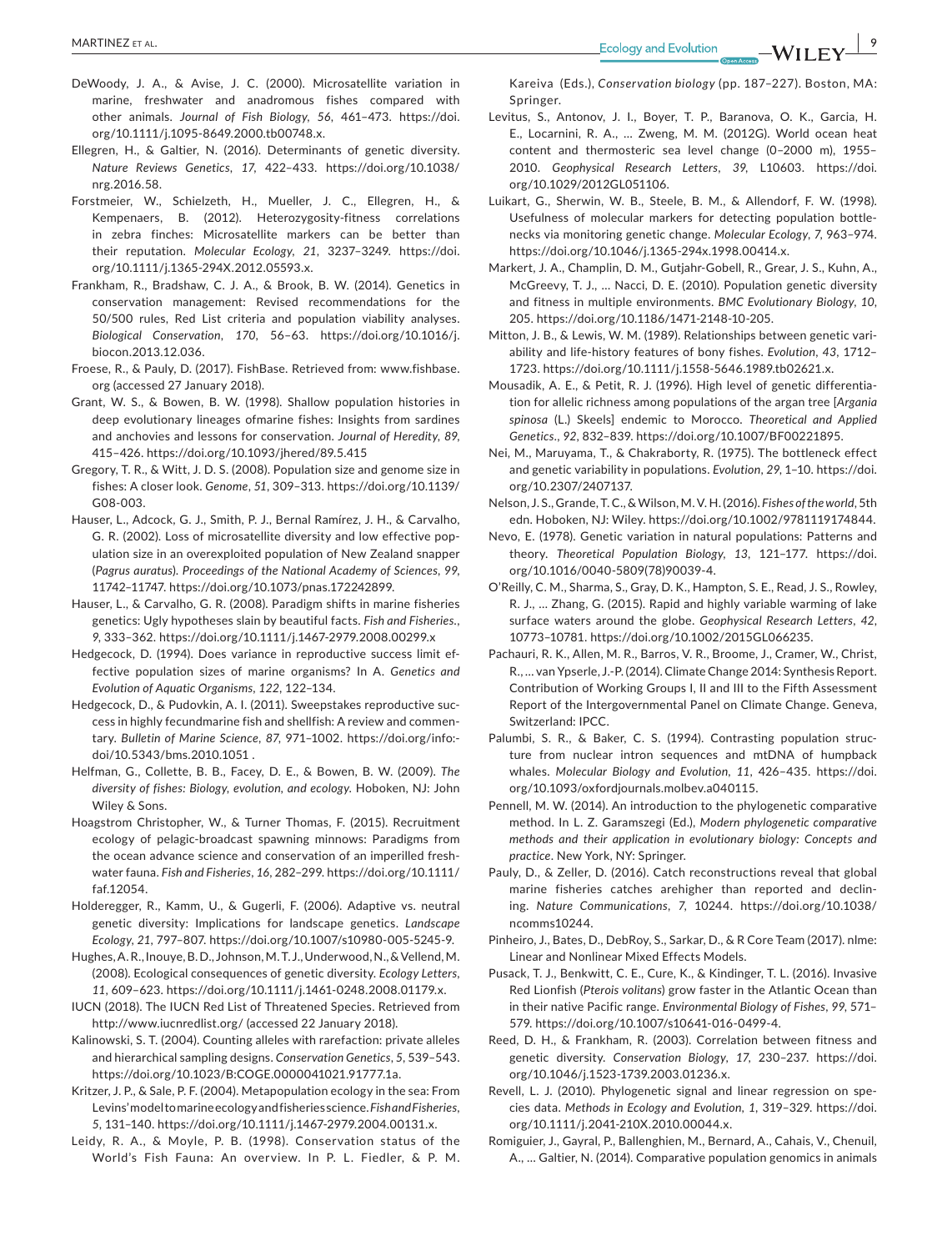- DeWoody, J. A., & Avise, J. C. (2000). Microsatellite variation in marine, freshwater and anadromous fishes compared with other animals. *Journal of Fish Biology*, *56*, 461–473. [https://doi.](https://doi.org/10.1111/j.1095-8649.2000.tb00748.x) [org/10.1111/j.1095-8649.2000.tb00748.x.](https://doi.org/10.1111/j.1095-8649.2000.tb00748.x)
- Ellegren, H., & Galtier, N. (2016). Determinants of genetic diversity. *Nature Reviews Genetics*, *17*, 422–433. [https://doi.org/10.1038/](https://doi.org/10.1038/nrg.2016.58) [nrg.2016.58.](https://doi.org/10.1038/nrg.2016.58)
- Forstmeier, W., Schielzeth, H., Mueller, J. C., Ellegren, H., & Kempenaers, B. (2012). Heterozygosity‐fitness correlations in zebra finches: Microsatellite markers can be better than their reputation. *Molecular Ecology*, *21*, 3237–3249. [https://doi.](https://doi.org/10.1111/j.1365-294X.2012.05593.x) [org/10.1111/j.1365-294X.2012.05593.x](https://doi.org/10.1111/j.1365-294X.2012.05593.x).
- Frankham, R., Bradshaw, C. J. A., & Brook, B. W. (2014). Genetics in conservation management: Revised recommendations for the 50/500 rules, Red List criteria and population viability analyses. *Biological Conservation*, *170*, 56–63. [https://doi.org/10.1016/j.](https://doi.org/10.1016/j.biocon.2013.12.036) [biocon.2013.12.036](https://doi.org/10.1016/j.biocon.2013.12.036).
- Froese, R., & Pauly, D. (2017). FishBase. Retrieved from: www.fishbase. org (accessed 27 January 2018).
- Grant, W. S., & Bowen, B. W. (1998). Shallow population histories in deep evolutionary lineages ofmarine fishes: Insights from sardines and anchovies and lessons for conservation. *Journal of Heredity*, *89*, 415–426. <https://doi.org/10.1093/jhered/89.5.415>
- Gregory, T. R., & Witt, J. D. S. (2008). Population size and genome size in fishes: A closer look. *Genome*, *51*, 309–313. [https://doi.org/10.1139/](https://doi.org/10.1139/G08-003) [G08-003](https://doi.org/10.1139/G08-003).
- Hauser, L., Adcock, G. J., Smith, P. J., Bernal Ramírez, J. H., & Carvalho, G. R. (2002). Loss of microsatellite diversity and low effective pop‐ ulation size in an overexploited population of New Zealand snapper (*Pagrus auratus*). *Proceedings of the National Academy of Sciences*, *99*, 11742–11747. <https://doi.org/10.1073/pnas.172242899>.
- Hauser, L., & Carvalho, G. R. (2008). Paradigm shifts in marine fisheries genetics: Ugly hypotheses slain by beautiful facts. *Fish and Fisheries.*, *9*, 333–362. <https://doi.org/10.1111/j.1467-2979.2008.00299.x>
- Hedgecock, D. (1994). Does variance in reproductive success limit ef‐ fective population sizes of marine organisms? In A. *Genetics and Evolution of Aquatic Organisms*, *122*, 122–134.
- Hedgecock, D., & Pudovkin, A. I. (2011). Sweepstakes reproductive suc‐ cess in highly fecundmarine fish and shellfish: A review and commen‐ tary. *Bulletin of Marine Science*, *87*, 971–1002. https://doi.org/info:‐ doi/10.5343/bms.2010.1051 .
- Helfman, G., Collette, B. B., Facey, D. E., & Bowen, B. W. (2009). *The diversity of fishes: Biology, evolution, and ecology*. Hoboken, NJ: John Wiley & Sons.
- Hoagstrom Christopher, W., & Turner Thomas, F. (2015). Recruitment ecology of pelagic‐broadcast spawning minnows: Paradigms from the ocean advance science and conservation of an imperilled fresh‐ water fauna. *Fish and Fisheries*, *16*, 282–299. [https://doi.org/10.1111/](https://doi.org/10.1111/faf.12054) [faf.12054.](https://doi.org/10.1111/faf.12054)
- Holderegger, R., Kamm, U., & Gugerli, F. (2006). Adaptive vs. neutral genetic diversity: Implications for landscape genetics. *Landscape Ecology*, *21*, 797–807. [https://doi.org/10.1007/s10980-005-5245-9.](https://doi.org/10.1007/s10980-005-5245-9)
- Hughes, A.R., Inouye, B.D., Johnson, M.T.J., Underwood, N., & Vellend, M. (2008). Ecological consequences of genetic diversity. *Ecology Letters*, *11*, 609–623. [https://doi.org/10.1111/j.1461-0248.2008.01179.x.](https://doi.org/10.1111/j.1461-0248.2008.01179.x)
- IUCN (2018). The IUCN Red List of Threatened Species. Retrieved from http://www.iucnredlist.org/ (accessed 22 January 2018).
- Kalinowski, S. T. (2004). Counting alleles with rarefaction: private alleles and hierarchical sampling designs. *Conservation Genetics*, *5*, 539–543. <https://doi.org/10.1023/B:COGE.0000041021.91777.1a>.
- Kritzer, J. P., & Sale, P. F. (2004). Metapopulation ecology in the sea: From Levins' model to marine ecology and fisheries science. *Fish and Fisheries*, *5*, 131–140. [https://doi.org/10.1111/j.1467-2979.2004.00131.x.](https://doi.org/10.1111/j.1467-2979.2004.00131.x)
- Leidy, R. A., & Moyle, P. B. (1998). Conservation status of the World's Fish Fauna: An overview. In P. L. Fiedler, & P. M.

Kareiva (Eds.), *Conservation biology* (pp. 187–227). Boston, MA: Springer.

- Levitus, S., Antonov, J. I., Boyer, T. P., Baranova, O. K., Garcia, H. E., Locarnini, R. A., … Zweng, M. M. (2012G). World ocean heat content and thermosteric sea level change (0–2000 m), 1955– 2010. *Geophysical Research Letters*, *39*, L10603. [https://doi.](https://doi.org/10.1029/2012GL051106) [org/10.1029/2012GL051106](https://doi.org/10.1029/2012GL051106).
- Luikart, G., Sherwin, W. B., Steele, B. M., & Allendorf, F. W. (1998). Usefulness of molecular markers for detecting population bottle‐ necks via monitoring genetic change. *Molecular Ecology*, *7*, 963–974. <https://doi.org/10.1046/j.1365-294x.1998.00414.x>.
- Markert, J. A., Champlin, D. M., Gutjahr‐Gobell, R., Grear, J. S., Kuhn, A., McGreevy, T. J., … Nacci, D. E. (2010). Population genetic diversity and fitness in multiple environments. *BMC Evolutionary Biology*, *10*, 205. <https://doi.org/10.1186/1471-2148-10-205>.
- Mitton, J. B., & Lewis, W. M. (1989). Relationships between genetic variability and life‐history features of bony fishes. *Evolution*, *43*, 1712– 1723. <https://doi.org/10.1111/j.1558-5646.1989.tb02621.x>.
- Mousadik, A. E., & Petit, R. J. (1996). High level of genetic differentia‐ tion for allelic richness among populations of the argan tree [*Argania spinosa* (L.) Skeels] endemic to Morocco. *Theoretical and Applied Genetics.*, *92*, 832–839.<https://doi.org/10.1007/BF00221895>.
- Nei, M., Maruyama, T., & Chakraborty, R. (1975). The bottleneck effect and genetic variability in populations. *Evolution*, *29*, 1–10. [https://doi.](https://doi.org/10.2307/2407137) [org/10.2307/2407137](https://doi.org/10.2307/2407137).
- Nelson, J. S., Grande, T.C., &Wilson,M.V.H. (2016). *Fishes of the world*, 5th edn. Hoboken, NJ: Wiley.<https://doi.org/10.1002/9781119174844>.
- Nevo, E. (1978). Genetic variation in natural populations: Patterns and theory. *Theoretical Population Biology*, *13*, 121–177. [https://doi.](https://doi.org/10.1016/0040-5809(78)90039-4) [org/10.1016/0040-5809\(78\)90039-4](https://doi.org/10.1016/0040-5809(78)90039-4).
- O'Reilly, C. M., Sharma, S., Gray, D. K., Hampton, S. E., Read, J. S., Rowley, R. J., … Zhang, G. (2015). Rapid and highly variable warming of lake surface waters around the globe. *Geophysical Research Letters*, *42*, 10773–10781.<https://doi.org/10.1002/2015GL066235>.
- Pachauri, R. K., Allen, M. R., Barros, V. R., Broome, J., Cramer, W., Christ, R., … van Ypserle, J.‐P. (2014).ClimateChange 2014: Synthesis Report. Contribution of Working Groups I, II and III to the Fifth Assessment Report of the Intergovernmental Panel on Climate Change. Geneva, Switzerland: IPCC.
- Palumbi, S. R., & Baker, C. S. (1994). Contrasting population structure from nuclear intron sequences and mtDNA of humpback whales. *Molecular Biology and Evolution*, *11*, 426–435. [https://doi.](https://doi.org/10.1093/oxfordjournals.molbev.a040115) [org/10.1093/oxfordjournals.molbev.a040115.](https://doi.org/10.1093/oxfordjournals.molbev.a040115)
- Pennell, M. W. (2014). An introduction to the phylogenetic comparative method. In L. Z. Garamszegi (Ed.), *Modern phylogenetic comparative methods and their application in evolutionary biology: Concepts and practice*. New York, NY: Springer.
- Pauly, D., & Zeller, D. (2016). Catch reconstructions reveal that global marine fisheries catches arehigher than reported and declin‐ ing. *Nature Communications*, *7*, 10244. [https://doi.org/10.1038/](https://doi.org/10.1038/ncomms10244) [ncomms10244.](https://doi.org/10.1038/ncomms10244)
- Pinheiro, J., Bates, D., DebRoy, S., Sarkar, D., & R Core Team (2017). nlme: Linear and Nonlinear Mixed Effects Models.
- Pusack, T. J., Benkwitt, C. E., Cure, K., & Kindinger, T. L. (2016). Invasive Red Lionfish (*Pterois volitans*) grow faster in the Atlantic Ocean than in their native Pacific range. *Environmental Biology of Fishes*, *99*, 571– 579. [https://doi.org/10.1007/s10641-016-0499-4.](https://doi.org/10.1007/s10641-016-0499-4)
- Reed, D. H., & Frankham, R. (2003). Correlation between fitness and genetic diversity. *Conservation Biology*, *17*, 230–237. [https://doi.](https://doi.org/10.1046/j.1523-1739.2003.01236.x) [org/10.1046/j.1523-1739.2003.01236.x](https://doi.org/10.1046/j.1523-1739.2003.01236.x).
- Revell, L. J. (2010). Phylogenetic signal and linear regression on spe‐ cies data. *Methods in Ecology and Evolution*, *1*, 319–329. [https://doi.](https://doi.org/10.1111/j.2041-210X.2010.00044.x) [org/10.1111/j.2041-210X.2010.00044.x](https://doi.org/10.1111/j.2041-210X.2010.00044.x).
- Romiguier, J., Gayral, P., Ballenghien, M., Bernard, A., Cahais, V., Chenuil, A., … Galtier, N. (2014). Comparative population genomics in animals